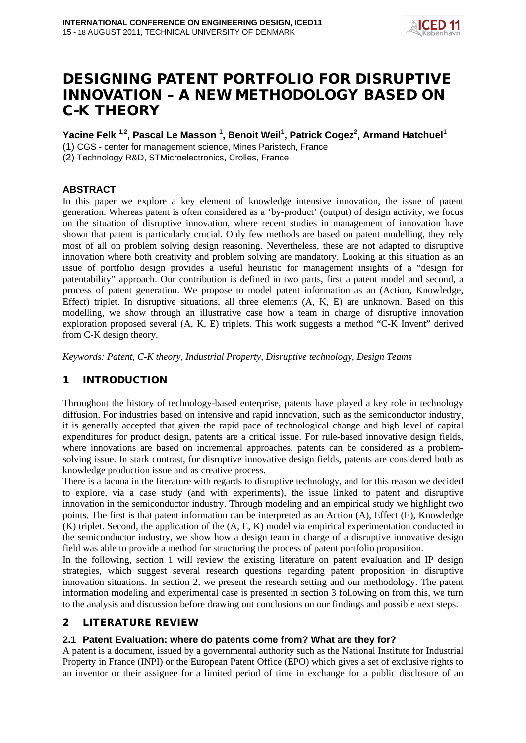

# DESIGNING PATENT PORTFOLIO FOR DISRUPTIVE INNOVATION – A NEW METHODOLOGY BASED ON C-K THEORY

# **Yacine Felk 1,2, Pascal Le Masson 1 , Benoit Weil<sup>1</sup> , Patrick Cogez<sup>2</sup> , Armand Hatchuel<sup>1</sup>**

(1) CGS - center for management science, Mines Paristech, France

(2) Technology R&D, STMicroelectronics, Crolles, France

## **ABSTRACT**

In this paper we explore a key element of knowledge intensive innovation, the issue of patent generation. Whereas patent is often considered as a 'by-product' (output) of design activity, we focus on the situation of disruptive innovation, where recent studies in management of innovation have shown that patent is particularly crucial. Only few methods are based on patent modelling, they rely most of all on problem solving design reasoning. Nevertheless, these are not adapted to disruptive innovation where both creativity and problem solving are mandatory. Looking at this situation as an issue of portfolio design provides a useful heuristic for management insights of a "design for patentability" approach. Our contribution is defined in two parts, first a patent model and second, a process of patent generation. We propose to model patent information as an (Action, Knowledge, Effect) triplet. In disruptive situations, all three elements (A, K, E) are unknown. Based on this modelling, we show through an illustrative case how a team in charge of disruptive innovation exploration proposed several (A, K, E) triplets. This work suggests a method "C-K Invent" derived from C-K design theory.

*Keywords: Patent, C-K theory, Industrial Property, Disruptive technology, Design Teams*

# 1 INTRODUCTION

Throughout the history of technology-based enterprise, patents have played a key role in technology diffusion. For industries based on intensive and rapid innovation, such as the semiconductor industry, it is generally accepted that given the rapid pace of technological change and high level of capital expenditures for product design, patents are a critical issue. For rule-based innovative design fields, where innovations are based on incremental approaches, patents can be considered as a problemsolving issue. In stark contrast, for disruptive innovative design fields, patents are considered both as knowledge production issue and as creative process.

There is a lacuna in the literature with regards to disruptive technology, and for this reason we decided to explore, via a case study (and with experiments), the issue linked to patent and disruptive innovation in the semiconductor industry. Through modeling and an empirical study we highlight two points. The first is that patent information can be interpreted as an Action (A), Effect (E), Knowledge (K) triplet. Second, the application of the (A, E, K) model via empirical experimentation conducted in the semiconductor industry, we show how a design team in charge of a disruptive innovative design field was able to provide a method for structuring the process of patent portfolio proposition.

In the following, section 1 will review the existing literature on patent evaluation and IP design strategies, which suggest several research questions regarding patent proposition in disruptive innovation situations. In section 2, we present the research setting and our methodology. The patent information modeling and experimental case is presented in section 3 following on from this, we turn to the analysis and discussion before drawing out conclusions on our findings and possible next steps.

## 2 LITERATURE REVIEW

## **2.1 Patent Evaluation: where do patents come from? What are they for?**

A patent is a document, issued by a governmental authority such as the National Institute for Industrial Property in France (INPI) or the European Patent Office (EPO) which gives a set of [exclusive rights](http://en.wikipedia.org/wiki/Exclusive_right) to an inventor or their assignee for a [limited period of time](http://en.wikipedia.org/wiki/Term_of_patent) in exchange for a public disclosure of an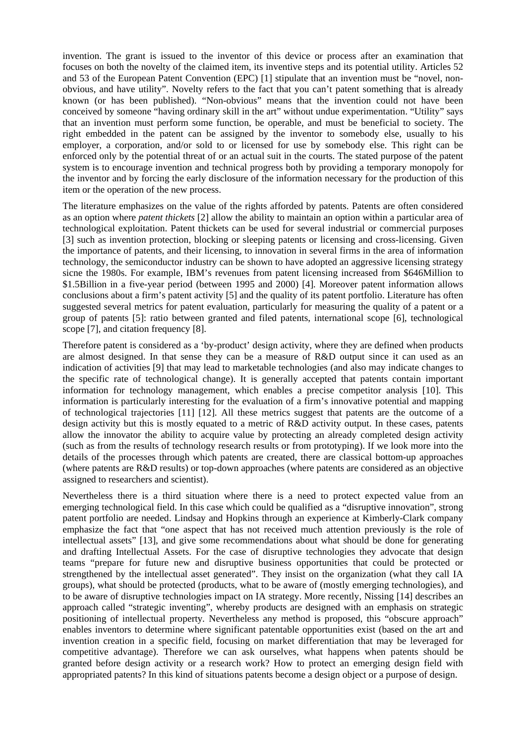[invention.](http://en.wikipedia.org/wiki/Invention) The grant is issued to the inventor of this device or process after an examination that focuses on both the novelty of the claimed item, its inventive steps and its potential utility. Articles [52](http://www.epo.org/patents/law/legal-texts/html/epc/2000/e/ar52.html) and [53](http://www.epo.org/patents/law/legal-texts/html/epc/2000/e/ar53.html) of the [European Patent Convention \(EPC\)](http://www.epo.org/patents/law/legal-texts/epc.html) [1] stipulate that an invention must be "novel, nonobvious, and have utility". Novelty refers to the fact that you can't patent something that is already known (or has been published). "Non-obvious" means that the invention could not have been conceived by someone "having ordinary skill in the art" without undue experimentation. "Utility" says that an invention must perform some function, be operable, and must be beneficial to society. The right embedded in the patent can be assigned by the inventor to somebody else, usually to his employer, a corporation, and/or sold to or licensed for use by somebody else. This right can be enforced only by the potential threat of or an actual suit in the courts. The stated purpose of the patent system is to encourage invention and technical progress both by providing a temporary monopoly for the inventor and by forcing the early disclosure of the information necessary for the production of this item or the operation of the new process.

The literature emphasizes on the value of the rights afforded by patents. Patents are often considered as an option where *patent thickets* [2] allow the ability to maintain an option within a particular area of technological exploitation. Patent thickets can be used for several industrial or commercial purposes [3] such as invention protection, blocking or sleeping patents or licensing and cross-licensing. Given the importance of patents, and their licensing, to innovation in several firms in the area of information technology, the semiconductor industry can be shown to have adopted an aggressive licensing strategy sicne the 1980s. For example, IBM's revenues from patent licensing increased from \$646Million to \$1.5Billion in a five-year period (between 1995 and 2000) [4]. Moreover patent information allows conclusions about a firm's patent activity [5] and the quality of its patent portfolio. Literature has often suggested several metrics for patent evaluation, particularly for measuring the quality of a patent or a group of patents [5]: ratio between granted and filed patents, international scope [6], technological scope [7], and citation frequency [8].

Therefore patent is considered as a 'by-product' design activity, where they are defined when products are almost designed. In that sense they can be a measure of R&D output since it can used as an indication of activities [9] that may lead to marketable technologies (and also may indicate changes to the specific rate of technological change). It is generally accepted that patents contain important information for technology management, which enables a precise competitor analysis [10]. This information is particularly interesting for the evaluation of a firm's innovative potential and mapping of technological trajectories [11] [12]. All these metrics suggest that patents are the outcome of a design activity but this is mostly equated to a metric of R&D activity output. In these cases, patents allow the innovator the ability to acquire value by protecting an already completed design activity (such as from the results of technology research results or from prototyping). If we look more into the details of the processes through which patents are created, there are classical bottom-up approaches (where patents are R&D results) or top-down approaches (where patents are considered as an objective assigned to researchers and scientist).

Nevertheless there is a third situation where there is a need to protect expected value from an emerging technological field. In this case which could be qualified as a "disruptive innovation", strong patent portfolio are needed. Lindsay and Hopkins through an experience at Kimberly-Clark company emphasize the fact that "one aspect that has not received much attention previously is the role of intellectual assets" [13], and give some recommendations about what should be done for generating and drafting Intellectual Assets. For the case of disruptive technologies they advocate that design teams "prepare for future new and disruptive business opportunities that could be protected or strengthened by the intellectual asset generated". They insist on the organization (what they call IA groups), what should be protected (products, what to be aware of (mostly emerging technologies), and to be aware of disruptive technologies impact on IA strategy. More recently, Nissing [14] describes an approach called "strategic inventing", whereby products are designed with an emphasis on strategic positioning of intellectual property*.* Nevertheless any method is proposed, this "obscure approach" enables inventors to determine where significant patentable opportunities exist (based on the art and invention creation in a specific field, focusing on market differentiation that may be leveraged for competitive advantage). Therefore we can ask ourselves, what happens when patents should be granted before design activity or a research work? How to protect an emerging design field with appropriated patents? In this kind of situations patents become a design object or a purpose of design.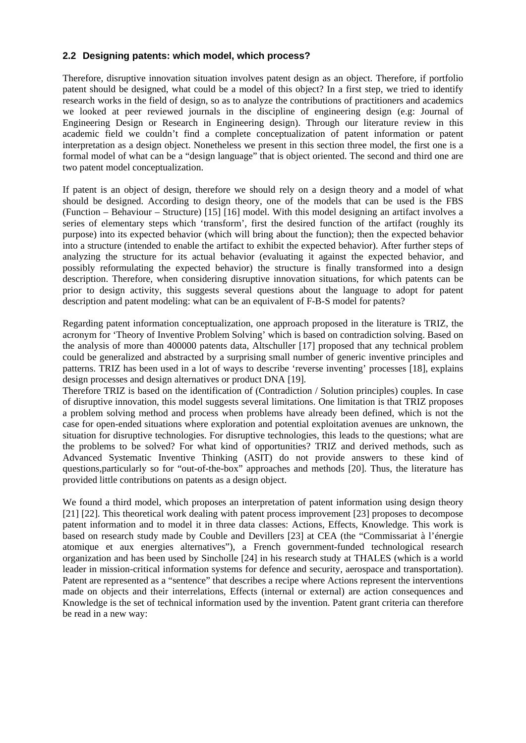## **2.2 Designing patents: which model, which process?**

Therefore, disruptive innovation situation involves patent design as an object. Therefore, if portfolio patent should be designed, what could be a model of this object? In a first step, we tried to identify research works in the field of design, so as to analyze the contributions of practitioners and academics we looked at peer reviewed journals in the discipline of engineering design (e.g: Journal of Engineering Design or Research in Engineering design). Through our literature review in this academic field we couldn't find a complete conceptualization of patent information or patent interpretation as a design object. Nonetheless we present in this section three model, the first one is a formal model of what can be a "design language" that is object oriented. The second and third one are two patent model conceptualization.

If patent is an object of design, therefore we should rely on a design theory and a model of what should be designed. According to design theory, one of the models that can be used is the FBS (Function – Behaviour – Structure) [15] [16] model. With this model designing an artifact involves a series of elementary steps which 'transform', first the desired function of the artifact (roughly its purpose) into its expected behavior (which will bring about the function); then the expected behavior into a structure (intended to enable the artifact to exhibit the expected behavior). After further steps of analyzing the structure for its actual behavior (evaluating it against the expected behavior, and possibly reformulating the expected behavior) the structure is finally transformed into a design description. Therefore, when considering disruptive innovation situations, for which patents can be prior to design activity, this suggests several questions about the language to adopt for patent description and patent modeling: what can be an equivalent of F-B-S model for patents?

Regarding patent information conceptualization, one approach proposed in the literature is TRIZ, the acronym for 'Theory of Inventive Problem Solving' which is based on contradiction solving. Based on the analysis of more than 400000 patents data, Altschuller [17] proposed that any technical problem could be generalized and abstracted by a surprising small number of generic inventive principles and patterns. TRIZ has been used in a lot of ways to describe 'reverse inventing' processes [18], explains design processes and design alternatives or product DNA [19].

Therefore TRIZ is based on the identification of (Contradiction / Solution principles) couples. In case of disruptive innovation, this model suggests several limitations. One limitation is that TRIZ proposes a problem solving method and process when problems have already been defined, which is not the case for open-ended situations where exploration and potential exploitation avenues are unknown, the situation for disruptive technologies. For disruptive technologies, this leads to the questions; what are the problems to be solved? For what kind of opportunities? TRIZ and derived methods, such as Advanced Systematic Inventive Thinking (ASIT) do not provide answers to these kind of questions,particularly so for "out-of-the-box" approaches and methods [20]. Thus, the literature has provided little contributions on patents as a design object.

We found a third model, which proposes an interpretation of patent information using design theory [21] [22]. This theoretical work dealing with patent process improvement [23] proposes to decompose patent information and to model it in three data classes: Actions, Effects, Knowledge. This work is based on research study made by Couble and Devillers [23] at CEA (the "Commissariat à l'énergie atomique et aux energies alternatives"), [a French government-funded technological research](http://www.cea.fr/english_portal/cea/identity)  [organization](http://www.cea.fr/english_portal/cea/identity) and has been used by Sincholle [24] in his research study at THALES (which is a world leader in mission-critical information systems for defence and security, aerospace and transportation). Patent are represented as a "sentence" that describes a recipe where Actions represent the interventions made on objects and their interrelations, Effects (internal or external) are action consequences and Knowledge is the set of technical information used by the invention. Patent grant criteria can therefore be read in a new way: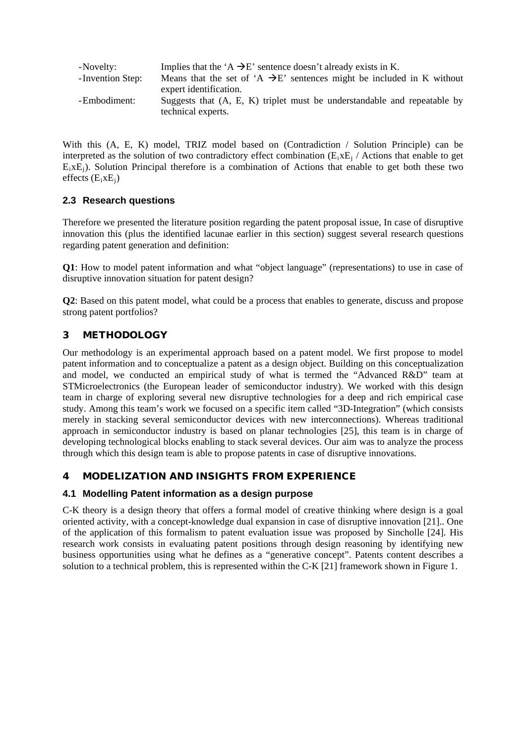| -Novelty:         | Implies that the 'A $\rightarrow$ E' sentence doesn't already exists in K.        |
|-------------------|-----------------------------------------------------------------------------------|
| - Invention Step: | Means that the set of $A \rightarrow E'$ sentences might be included in K without |
|                   | expert identification.                                                            |
| -Embodiment:      | Suggests that $(A, E, K)$ triplet must be understandable and repeatable by        |
|                   | technical experts.                                                                |

With this (A, E, K) model, TRIZ model based on (Contradiction / Solution Principle) can be interpreted as the solution of two contradictory effect combination  $(E_i E_j /$  Actions that enable to get  $E_ixE_j$ ). Solution Principal therefore is a combination of Actions that enable to get both these two effects  $(E_ixE_i)$ 

## **2.3 Research questions**

Therefore we presented the literature position regarding the patent proposal issue, In case of disruptive innovation this (plus the identified lacunae earlier in this section) suggest several research questions regarding patent generation and definition:

**Q1**: How to model patent information and what "object language" (representations) to use in case of disruptive innovation situation for patent design?

**Q2**: Based on this patent model, what could be a process that enables to generate, discuss and propose strong patent portfolios?

## 3 METHODOLOGY

Our methodology is an experimental approach based on a patent model. We first propose to model patent information and to conceptualize a patent as a design object. Building on this conceptualization and model, we conducted an empirical study of what is termed the "Advanced R&D" team at STMicroelectronics (the European leader of semiconductor industry). We worked with this design team in charge of exploring several new disruptive technologies for a deep and rich empirical case study. Among this team's work we focused on a specific item called "3D-Integration" (which consists merely in stacking several semiconductor devices with new interconnections). Whereas traditional approach in semiconductor industry is based on planar technologies [25], this team is in charge of developing technological blocks enabling to stack several devices. Our aim was to analyze the process through which this design team is able to propose patents in case of disruptive innovations.

# 4 MODELIZATION AND INSIGHTS FROM EXPERIENCE

## **4.1 Modelling Patent information as a design purpose**

C-K theory is a design theory that offers a formal model of creative thinking where design is a goal oriented activity, with a concept-knowledge dual expansion in case of disruptive innovation [21].. One of the application of this formalism to patent evaluation issue was proposed by Sincholle [24]. His research work consists in evaluating patent positions through design reasoning by identifying new business opportunities using what he defines as a "generative concept". Patents content describes a solution to a technical problem, this is represented within the C-K [21] framework shown in Figure 1.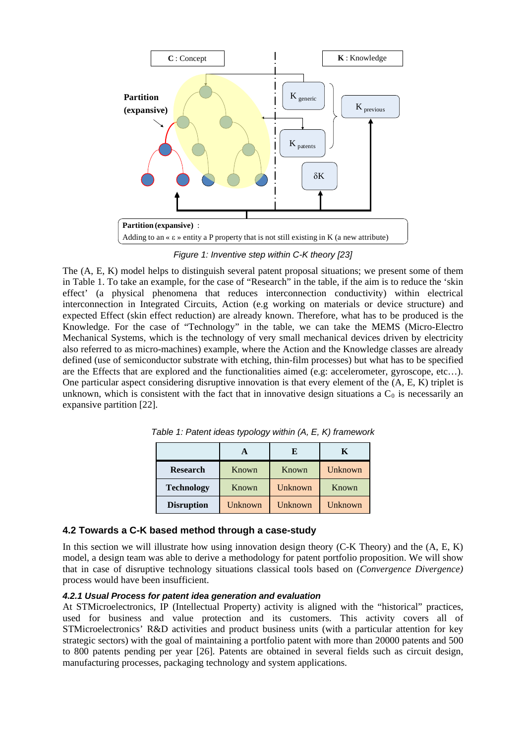

*Figure 1: Inventive step within C-K theory [23]*

The (A, E, K) model helps to distinguish several patent proposal situations; we present some of them in Table 1. To take an example, for the case of "Research" in the table, if the aim is to reduce the 'skin effect' (a physical phenomena that reduces interconnection conductivity) within electrical interconnection in Integrated Circuits, Action (e.g working on materials or device structure) and expected Effect (skin effect reduction) are already known. Therefore, what has to be produced is the Knowledge. For the case of "Technology" in the table, we can take the MEMS (Micro-Electro Mechanical Systems, which is the technology of very small mechanical devices driven by electricity also referred to as [micro-machines\)](http://en.wikipedia.org/wiki/Micromachinery) example, where the Action and the Knowledge classes are already defined (use of semiconductor substrate with etching, thin-film processes) but what has to be specified are the Effects that are explored and the functionalities aimed (e.g: accelerometer, gyroscope, etc…). One particular aspect considering disruptive innovation is that every element of the (A, E, K) triplet is unknown, which is consistent with the fact that in innovative design situations a  $C_0$  is necessarily an expansive partition [22].

|                   |         | E       | K       |
|-------------------|---------|---------|---------|
| <b>Research</b>   | Known   | Known   | Unknown |
| <b>Technology</b> | Known   | Unknown | Known   |
| <b>Disruption</b> | Unknown | Unknown | Unknown |

*Table 1: Patent ideas typology within (A, E, K) framework*

## **4.2 Towards a C-K based method through a case-study**

In this section we will illustrate how using innovation design theory (C-K Theory) and the (A, E, K) model, a design team was able to derive a methodology for patent portfolio proposition. We will show that in case of disruptive technology situations classical tools based on (*Convergence Divergence)*  process would have been insufficient.

#### *4.2.1 Usual Process for patent idea generation and evaluation*

At STMicroelectronics, IP (Intellectual Property) activity is aligned with the "historical" practices, used for business and value protection and its customers. This activity covers all of STMicroelectronics' R&D activities and product business units (with a particular attention for key strategic sectors) with the goal of maintaining a portfolio patent with more than 20000 patents and 500 to 800 patents pending per year [26]. Patents are obtained in several fields such as circuit design, manufacturing processes, packaging technology and system applications.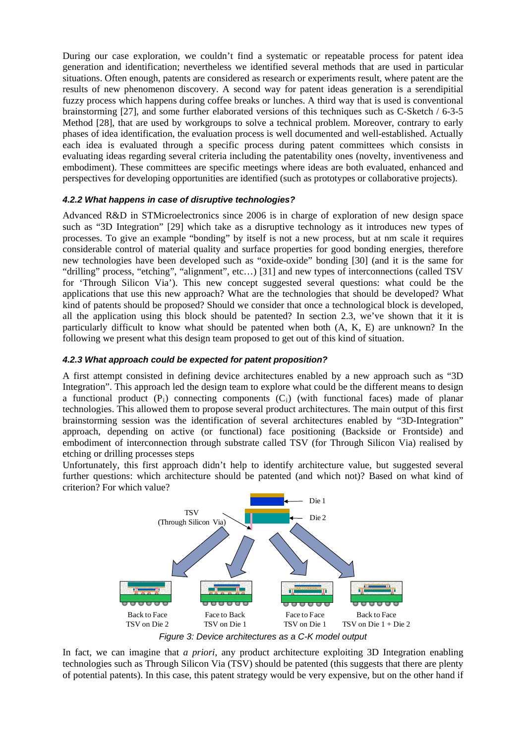During our case exploration, we couldn't find a systematic or repeatable process for patent idea generation and identification; nevertheless we identified several methods that are used in particular situations. Often enough, patents are considered as research or experiments result, where patent are the results of new phenomenon discovery. A second way for patent ideas generation is a serendipitial fuzzy process which happens during coffee breaks or lunches. A third way that is used is conventional brainstorming [27], and some further elaborated versions of this techniques such as C-Sketch / 6-3-5 Method [28], that are used by workgroups to solve a technical problem. Moreover, contrary to early phases of idea identification, the evaluation process is well documented and well-established. Actually each idea is evaluated through a specific process during patent committees which consists in evaluating ideas regarding several criteria including the patentability ones (novelty, inventiveness and embodiment). These committees are specific meetings where ideas are both evaluated, enhanced and perspectives for developing opportunities are identified (such as prototypes or collaborative projects).

#### *4.2.2 What happens in case of disruptive technologies?*

Advanced R&D in STMicroelectronics since 2006 is in charge of exploration of new design space such as "3D Integration" [29] which take as a disruptive technology as it introduces new types of processes. To give an example "bonding" by itself is not a new process, but at nm scale it requires considerable control of material quality and surface properties for good bonding energies, therefore new technologies have been developed such as "oxide-oxide" bonding [30] (and it is the same for "drilling" process, "etching", "alignment", etc…) [31] and new types of interconnections (called TSV for 'Through Silicon Via'). This new concept suggested several questions: what could be the applications that use this new approach? What are the technologies that should be developed? What kind of patents should be proposed? Should we consider that once a technological block is developed, all the application using this block should be patented? In section 2.3, we've shown that it it is particularly difficult to know what should be patented when both (A, K, E) are unknown? In the following we present what this design team proposed to get out of this kind of situation.

#### *4.2.3 What approach could be expected for patent proposition?*

A first attempt consisted in defining device architectures enabled by a new approach such as "3D Integration". This approach led the design team to explore what could be the different means to design a functional product  $(P_i)$  connecting components  $(C_i)$  (with functional faces) made of planar technologies. This allowed them to propose several product architectures. The main output of this first brainstorming session was the identification of several architectures enabled by "3D-Integration" approach, depending on active (or functional) face positioning (Backside or Frontside) and embodiment of interconnection through substrate called TSV (for Through Silicon Via) realised by etching or drilling processes steps

Unfortunately, this first approach didn't help to identify architecture value, but suggested several further questions: which architecture should be patented (and which not)? Based on what kind of criterion? For which value?



*Figure 3: Device architectures as a C-K model output*

In fact, we can imagine that *a priori*, any product architecture exploiting 3D Integration enabling technologies such as Through Silicon Via (TSV) should be patented (this suggests that there are plenty of potential patents). In this case, this patent strategy would be very expensive, but on the other hand if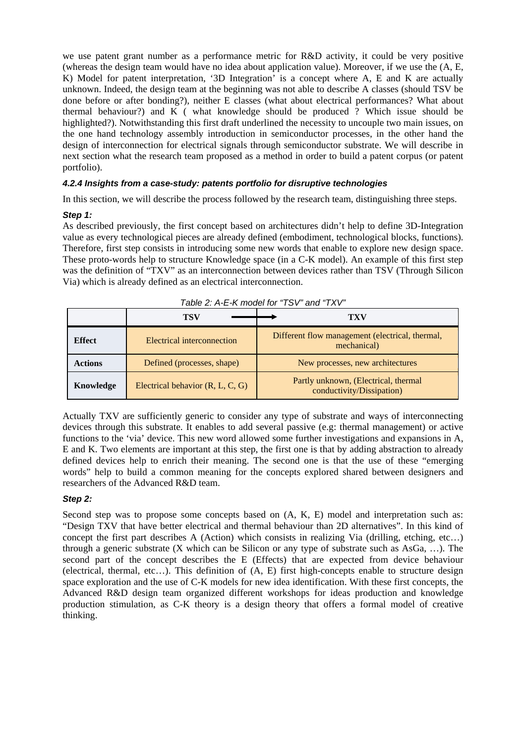we use patent grant number as a performance metric for R&D activity, it could be very positive (whereas the design team would have no idea about application value). Moreover, if we use the (A, E, K) Model for patent interpretation, '3D Integration' is a concept where A, E and K are actually unknown. Indeed, the design team at the beginning was not able to describe A classes (should TSV be done before or after bonding?), neither E classes (what about electrical performances? What about thermal behaviour?) and K ( what knowledge should be produced ? Which issue should be highlighted?). Notwithstanding this first draft underlined the necessity to uncouple two main issues, on the one hand technology assembly introduction in semiconductor processes, in the other hand the design of interconnection for electrical signals through semiconductor substrate. We will describe in next section what the research team proposed as a method in order to build a patent corpus (or patent portfolio).

#### *4.2.4 Insights from a case-study: patents portfolio for disruptive technologies*

In this section, we will describe the process followed by the research team, distinguishing three steps.

#### *Step 1:*

As described previously, the first concept based on architectures didn't help to define 3D-Integration value as every technological pieces are already defined (embodiment, technological blocks, functions). Therefore, first step consists in introducing some new words that enable to explore new design space. These proto-words help to structure Knowledge space (in a C-K model). An example of this first step was the definition of "TXV" as an interconnection between devices rather than TSV (Through Silicon Via) which is already defined as an electrical interconnection.

| $1$ able 2. A - L - N $1100$ et $101$ $130$ and $1 \wedge 0$ |                                                                                              |                                                                   |  |  |
|--------------------------------------------------------------|----------------------------------------------------------------------------------------------|-------------------------------------------------------------------|--|--|
|                                                              | <b>TSV</b>                                                                                   | TXV                                                               |  |  |
| <b>Effect</b>                                                | Different flow management (electrical, thermal,<br>Electrical interconnection<br>mechanical) |                                                                   |  |  |
| <b>Actions</b>                                               | Defined (processes, shape)<br>New processes, new architectures                               |                                                                   |  |  |
| Electrical behavior $(R, L, C, G)$<br>Knowledge              |                                                                                              | Partly unknown, (Electrical, thermal<br>conductivity/Dissipation) |  |  |

*Table 2: A-E-K model for "TSV" and "TXV"*

Actually TXV are sufficiently generic to consider any type of substrate and ways of interconnecting devices through this substrate. It enables to add several passive (e.g: thermal management) or active functions to the 'via' device. This new word allowed some further investigations and expansions in A, E and K. Two elements are important at this step, the first one is that by adding abstraction to already defined devices help to enrich their meaning. The second one is that the use of these "emerging words" help to build a common meaning for the concepts explored shared between designers and researchers of the Advanced R&D team.

#### *Step 2:*

Second step was to propose some concepts based on  $(A, K, E)$  model and interpretation such as: "Design TXV that have better electrical and thermal behaviour than 2D alternatives". In this kind of concept the first part describes A (Action) which consists in realizing Via (drilling, etching,  $etc...$ ) through a generic substrate  $(X$  which can be Silicon or any type of substrate such as AsGa, ...). The second part of the concept describes the E (Effects) that are expected from device behaviour (electrical, thermal, etc…). This definition of (A, E) first high-concepts enable to structure design space exploration and the use of C-K models for new idea identification. With these first concepts, the Advanced R&D design team organized different workshops for ideas production and knowledge production stimulation, as C-K theory is a design theory that offers a formal model of creative thinking.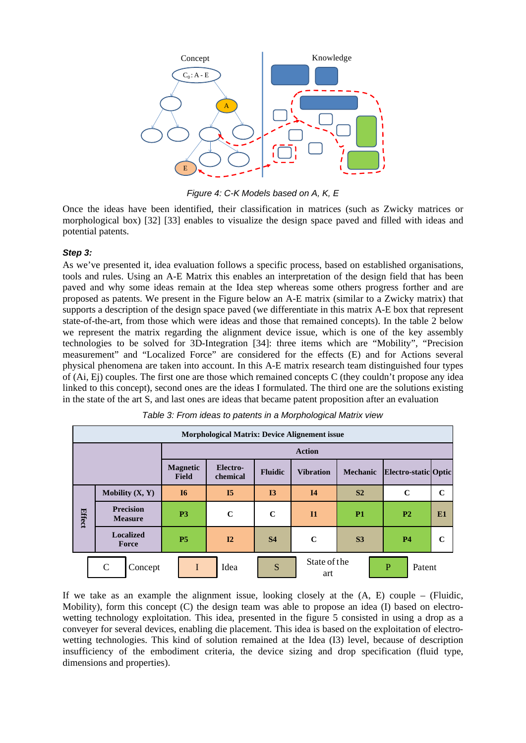

*Figure 4: C-K Models based on A, K, E*

Once the ideas have been identified, their classification in matrices (such as Zwicky matrices or morphological box) [32] [33] enables to visualize the design space paved and filled with ideas and potential patents.

#### *Step 3:*

As we've presented it, idea evaluation follows a specific process, based on established organisations, tools and rules. Using an A-E Matrix this enables an interpretation of the design field that has been paved and why some ideas remain at the Idea step whereas some others progress forther and are proposed as patents. We present in the Figure below an A-E matrix (similar to a Zwicky matrix) that supports a description of the design space paved (we differentiate in this matrix A-E box that represent state-of-the-art, from those which were ideas and those that remained concepts). In the table 2 below we represent the matrix regarding the alignment device issue, which is one of the key assembly technologies to be solved for 3D-Integration [34]: three items which are "Mobility", "Precision measurement" and "Localized Force" are considered for the effects (E) and for Actions several physical phenomena are taken into account. In this A-E matrix research team distinguished four types of (Ai, Ej) couples. The first one are those which remained concepts C (they couldn't propose any idea linked to this concept), second ones are the ideas I formulated. The third one are the solutions existing in the state of the art S, and last ones are ideas that became patent proposition after an evaluation

| <b>Morphological Matrix: Device Alignement issue</b> |                                    |                                 |                      |                |                     |                 |                          |             |
|------------------------------------------------------|------------------------------------|---------------------------------|----------------------|----------------|---------------------|-----------------|--------------------------|-------------|
|                                                      |                                    | <b>Action</b>                   |                      |                |                     |                 |                          |             |
|                                                      |                                    | <b>Magnetic</b><br><b>Field</b> | Electro-<br>chemical | <b>Fluidic</b> | <b>Vibration</b>    | <b>Mechanic</b> | Electro-static Optic     |             |
|                                                      | Mobility $(X, Y)$                  | I <sub>6</sub>                  | I <sub>5</sub>       | I3             | <b>I4</b>           | S <sub>2</sub>  | $\mathbf C$              | $\mathbf C$ |
| Effect                                               | <b>Precision</b><br><b>Measure</b> | P <sub>3</sub>                  | $\mathbf C$          | $\mathbf C$    | I <sub>1</sub>      | <b>P1</b>       | <b>P2</b>                | E1          |
|                                                      | <b>Localized</b><br>Force          | <b>P5</b>                       | I2                   | <b>S4</b>      | $\mathbf C$         | S <sub>3</sub>  | <b>P4</b>                | C           |
|                                                      | $\mathsf{C}$<br>Concept            | I                               | Idea                 | S              | State of the<br>art |                 | $\overline{P}$<br>Patent |             |

*Table 3: From ideas to patents in a Morphological Matrix view*

If we take as an example the alignment issue, looking closely at the  $(A, E)$  couple – (Fluidic, Mobility), form this concept (C) the design team was able to propose an idea (I) based on electrowetting technology exploitation. This idea, presented in the figure 5 consisted in using a drop as a conveyer for several devices, enabling die placement. This idea is based on the exploitation of electrowetting technologies. This kind of solution remained at the Idea (I3) level, because of description insufficiency of the embodiment criteria, the device sizing and drop specification (fluid type, dimensions and properties).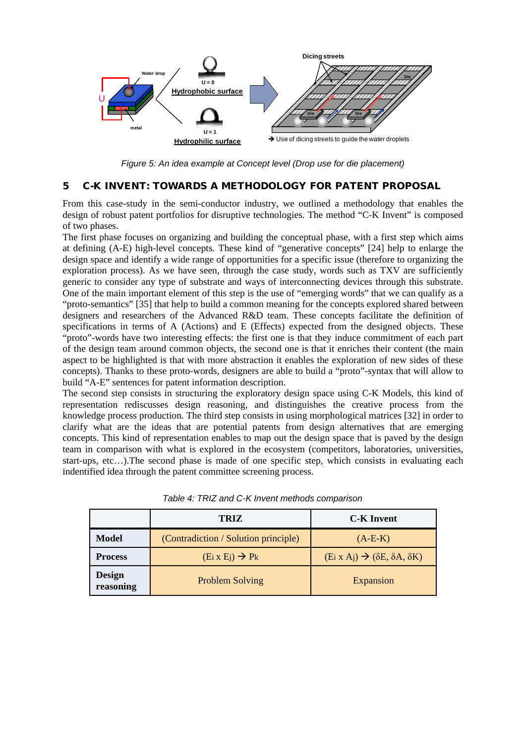

*Figure 5: An idea example at Concept level (Drop use for die placement)*

## 5 C-K INVENT: TOWARDS A METHODOLOGY FOR PATENT PROPOSAL

From this case-study in the semi-conductor industry, we outlined a methodology that enables the design of robust patent portfolios for disruptive technologies. The method "C-K Invent" is composed of two phases.

The first phase focuses on organizing and building the conceptual phase, with a first step which aims at defining (A-E) high-level concepts. These kind of "generative concepts" [24] help to enlarge the design space and identify a wide range of opportunities for a specific issue (therefore to organizing the exploration process). As we have seen, through the case study, words such as TXV are sufficiently generic to consider any type of substrate and ways of interconnecting devices through this substrate. One of the main important element of this step is the use of "emerging words" that we can qualify as a "proto-semantics" [35] that help to build a common meaning for the concepts explored shared between designers and researchers of the Advanced R&D team. These concepts facilitate the definition of specifications in terms of A (Actions) and E (Effects) expected from the designed objects. These "proto"-words have two interesting effects: the first one is that they induce commitment of each part of the design team around common objects, the second one is that it enriches their content (the main aspect to be highlighted is that with more abstraction it enables the exploration of new sides of these concepts). Thanks to these proto-words, designers are able to build a "proto"-syntax that will allow to build "A-E" sentences for patent information description.

The second step consists in structuring the exploratory design space using C-K Models, this kind of representation rediscusses design reasoning, and distinguishes the creative process from the knowledge process production. The third step consists in using morphological matrices [32] in order to clarify what are the ideas that are potential patents from design alternatives that are emerging concepts. This kind of representation enables to map out the design space that is paved by the design team in comparison with what is explored in the ecosystem (competitors, laboratories, universities, start-ups, etc…).The second phase is made of one specific step, which consists in evaluating each indentified idea through the patent committee screening process.

|                            | <b>TRIZ</b>                          | <b>C-K</b> Invent                                      |
|----------------------------|--------------------------------------|--------------------------------------------------------|
| <b>Model</b>               | (Contradiction / Solution principle) | $(A-E-K)$                                              |
| <b>Process</b>             | $(Ei \times Ej) \rightarrow Pk$      | $(Ei X Aj) \rightarrow (\delta E, \delta A, \delta K)$ |
| <b>Design</b><br>reasoning | <b>Problem Solving</b>               | Expansion                                              |

*Table 4: TRIZ and C-K Invent methods comparison*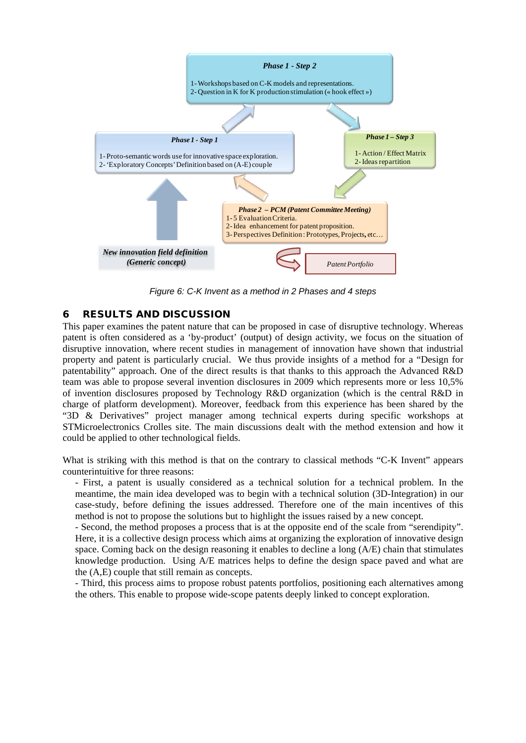

*Figure 6: C-K Invent as a method in 2 Phases and 4 steps*

## 6 RESULTS AND DISCUSSION

This paper examines the patent nature that can be proposed in case of disruptive technology. Whereas patent is often considered as a 'by-product' (output) of design activity, we focus on the situation of disruptive innovation, where recent studies in management of innovation have shown that industrial property and patent is particularly crucial. We thus provide insights of a method for a "Design for patentability" approach. One of the direct results is that thanks to this approach the Advanced R&D team was able to propose several invention disclosures in 2009 which represents more or less 10,5% of invention disclosures proposed by Technology R&D organization (which is the central R&D in charge of platform development). Moreover, feedback from this experience has been shared by the "3D & Derivatives" project manager among technical experts during specific workshops at STMicroelectronics Crolles site. The main discussions dealt with the method extension and how it could be applied to other technological fields.

What is striking with this method is that on the contrary to classical methods "C-K Invent" appears counterintuitive for three reasons:

- First, a patent is usually considered as a technical solution for a technical problem. In the meantime, the main idea developed was to begin with a technical solution (3D-Integration) in our case-study, before defining the issues addressed. Therefore one of the main incentives of this method is not to propose the solutions but to highlight the issues raised by a new concept.

- Second, the method proposes a process that is at the opposite end of the scale from "serendipity". Here, it is a collective design process which aims at organizing the exploration of innovative design space. Coming back on the design reasoning it enables to decline a long (A/E) chain that stimulates knowledge production. Using A/E matrices helps to define the design space paved and what are the (A,E) couple that still remain as concepts.

- Third, this process aims to propose robust patents portfolios, positioning each alternatives among the others. This enable to propose wide-scope patents deeply linked to concept exploration.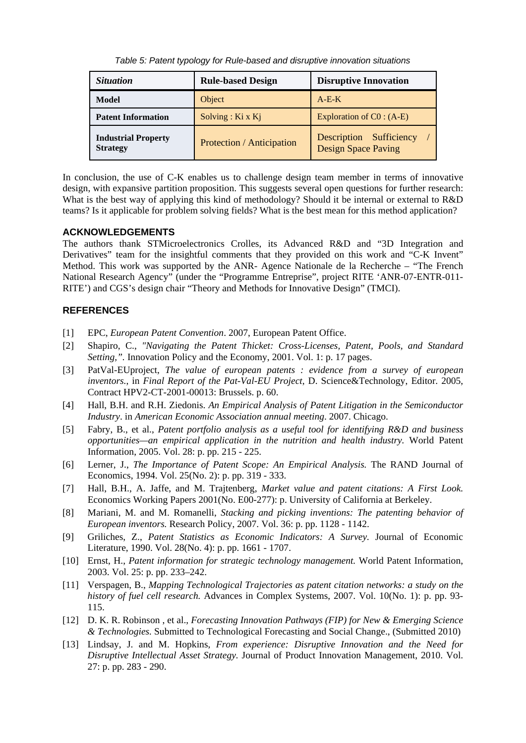*Table 5: Patent typology for Rule-based and disruptive innovation situations*

| <i>Situation</i>                              | <b>Rule-based Design</b>  | <b>Disruptive Innovation</b>                          |  |
|-----------------------------------------------|---------------------------|-------------------------------------------------------|--|
| Model                                         | Object                    | $A-E-K$                                               |  |
| <b>Patent Information</b>                     | Solving : $Ki x Kj$       | Exploration of $CO: (A-E)$                            |  |
| <b>Industrial Property</b><br><b>Strategy</b> | Protection / Anticipation | Description Sufficiency<br><b>Design Space Paving</b> |  |

In conclusion, the use of C-K enables us to challenge design team member in terms of innovative design, with expansive partition proposition. This suggests several open questions for further research: What is the best way of applying this kind of methodology? Should it be internal or external to R&D teams? Is it applicable for problem solving fields? What is the best mean for this method application?

## **ACKNOWLEDGEMENTS**

The authors thank STMicroelectronics Crolles, its Advanced R&D and "3D Integration and Derivatives" team for the insightful comments that they provided on this work and "C-K Invent" Method. This work was supported by the ANR- Agence Nationale de la Recherche – "The French National Research Agency" (under the "Programme Entreprise", project RITE 'ANR-07-ENTR-011- RITE') and CGS's design chair "Theory and Methods for Innovative Design" (TMCI).

## **REFERENCES**

- [1] EPC, *European Patent Convention*. 2007, European Patent Office.
- [2] Shapiro, C., *"Navigating the Patent Thicket: Cross-Licenses, Patent, Pools, and Standard Setting,".* Innovation Policy and the Economy, 2001. Vol. 1: p. 17 pages.
- [3] PatVal-EUproject, *The value of european patents : evidence from a survey of european inventors.*, in *Final Report of the Pat-Val-EU Project*, D. Science&Technology, Editor. 2005, Contract HPV2-CT-2001-00013: Brussels. p. 60.
- [4] Hall, B.H. and R.H. Ziedonis. *An Empirical Analysis of Patent Litigation in the Semiconductor Industry*. in *American Economic Association annual meeting*. 2007. Chicago.
- [5] Fabry, B., et al., *Patent portfolio analysis as a useful tool for identifying R&D and business opportunities—an empirical application in the nutrition and health industry.* World Patent Information, 2005. Vol. 28: p. pp. 215 - 225.
- [6] Lerner, J., *The Importance of Patent Scope: An Empirical Analysis.* The RAND Journal of Economics, 1994. Vol. 25(No. 2): p. pp. 319 - 333.
- [7] Hall, B.H., A. Jaffe, and M. Trajtenberg, *Market value and patent citations: A First Look.* Economics Working Papers 2001(No. E00-277): p. University of California at Berkeley.
- [8] Mariani, M. and M. Romanelli, *Stacking and picking inventions: The patenting behavior of European inventors.* Research Policy, 2007. Vol. 36: p. pp. 1128 - 1142.
- [9] Griliches, Z., *Patent Statistics as Economic Indicators: A Survey.* Journal of Economic Literature, 1990. Vol. 28(No. 4): p. pp. 1661 - 1707.
- [10] Ernst, H., *Patent information for strategic technology management.* World Patent Information, 2003. Vol. 25: p. pp. 233–242.
- [11] Verspagen, B., *Mapping Technological Trajectories as patent citation networks: a study on the history of fuel cell research.* Advances in Complex Systems, 2007. Vol. 10(No. 1): p. pp. 93- 115.
- [12] D. K. R. Robinson , et al., *Forecasting Innovation Pathways (FIP) for New & Emerging Science & Technologies.* Submitted to Technological Forecasting and Social Change., (Submitted 2010)
- [13] Lindsay, J. and M. Hopkins, *From experience: Disruptive Innovation and the Need for Disruptive Intellectual Asset Strategy.* Journal of Product Innovation Management, 2010. Vol. 27: p. pp. 283 - 290.